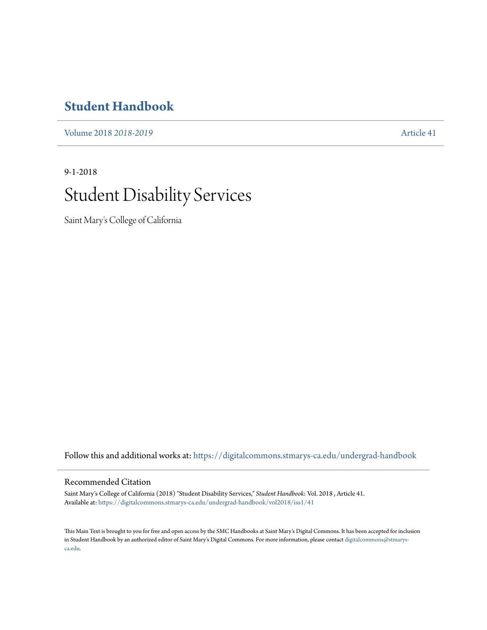## **[Student Handbook](https://digitalcommons.stmarys-ca.edu/undergrad-handbook?utm_source=digitalcommons.stmarys-ca.edu%2Fundergrad-handbook%2Fvol2018%2Fiss1%2F41&utm_medium=PDF&utm_campaign=PDFCoverPages)**

[Volume 2018](https://digitalcommons.stmarys-ca.edu/undergrad-handbook/vol2018?utm_source=digitalcommons.stmarys-ca.edu%2Fundergrad-handbook%2Fvol2018%2Fiss1%2F41&utm_medium=PDF&utm_campaign=PDFCoverPages) *2018-2019* [Article 41](https://digitalcommons.stmarys-ca.edu/undergrad-handbook/vol2018/iss1/41?utm_source=digitalcommons.stmarys-ca.edu%2Fundergrad-handbook%2Fvol2018%2Fiss1%2F41&utm_medium=PDF&utm_campaign=PDFCoverPages)

# 9-1-2018 Student Disability Services

Saint Mary's College of California

Follow this and additional works at: [https://digitalcommons.stmarys-ca.edu/undergrad-handbook](https://digitalcommons.stmarys-ca.edu/undergrad-handbook?utm_source=digitalcommons.stmarys-ca.edu%2Fundergrad-handbook%2Fvol2018%2Fiss1%2F41&utm_medium=PDF&utm_campaign=PDFCoverPages)

#### Recommended Citation

Saint Mary's College of California (2018) "Student Disability Services," *Student Handbook*: Vol. 2018 , Article 41. Available at: [https://digitalcommons.stmarys-ca.edu/undergrad-handbook/vol2018/iss1/41](https://digitalcommons.stmarys-ca.edu/undergrad-handbook/vol2018/iss1/41?utm_source=digitalcommons.stmarys-ca.edu%2Fundergrad-handbook%2Fvol2018%2Fiss1%2F41&utm_medium=PDF&utm_campaign=PDFCoverPages)

This Main Text is brought to you for free and open access by the SMC Handbooks at Saint Mary's Digital Commons. It has been accepted for inclusion in Student Handbook by an authorized editor of Saint Mary's Digital Commons. For more information, please contact [digitalcommons@stmarys](mailto:digitalcommons@stmarys-ca.edu)[ca.edu](mailto:digitalcommons@stmarys-ca.edu).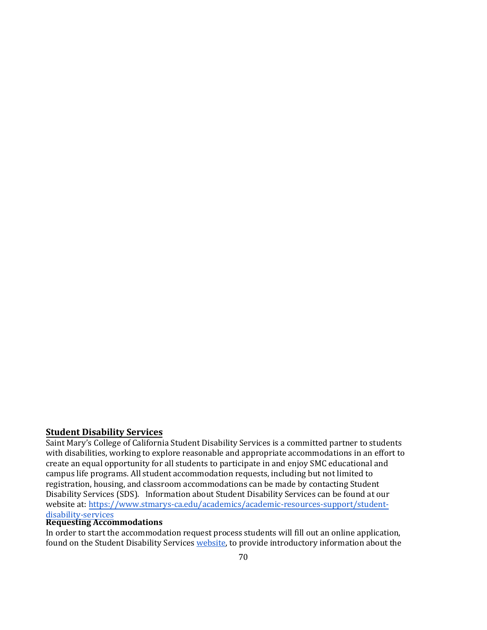### **Student Disability Services**

Saint Mary's College of California Student Disability Services is a committed partner to students with disabilities, working to explore reasonable and appropriate accommodations in an effort to create an equal opportunity for all students to participate in and enjoy SMC educational and campus life programs. All student accommodation requests, including but not limited to registration, housing, and classroom accommodations can be made by contacting Student Disability Services (SDS). Information about Student Disability Services can be found at our website at: [https://www.stmarys-ca.edu/academics/academic-resources-support/student](https://www.stmarys-ca.edu/academics/academic-resources-support/student-disability-services)disability-services

#### **Requesting Accommodations**

In order to start the accommodation request process students will fill out an online application, found on the Student Disability Services [website,](https://www.stmarys-ca.edu/academics/academic-resources-support/student-disability-services) to provide introductory information about the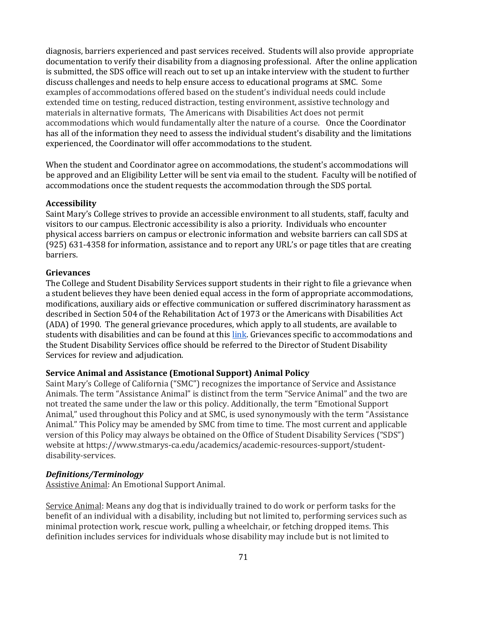diagnosis, barriers experienced and past services received. Students will also provide appropriate documentation to verify their disability from a diagnosing professional. After the online application is submitted, the SDS office will reach out to set up an intake interview with the student to further discuss challenges and needs to help ensure access to educational programs at SMC. Some examples of accommodations offered based on the student's individual needs could include extended time on testing, reduced distraction, testing environment, assistive technology and materials in alternative formats, The Americans with Disabilities Act does not permit accommodations which would fundamentally alter the nature of a course. Once the Coordinator has all of the information they need to assess the individual student's disability and the limitations experienced, the Coordinator will offer accommodations to the student.

When the student and Coordinator agree on accommodations, the student's accommodations will be approved and an Eligibility Letter will be sent via email to the student. Faculty will be notified of accommodations once the student requests the accommodation through the SDS portal.

#### **Accessibility**

Saint Mary's College strives to provide an accessible environment to all students, staff, faculty and visitors to our campus. Electronic accessibility is also a priority. Individuals who encounter physical access barriers on campus or electronic information and website barriers can call SDS at (925) 631-4358 for information, assistance and to report any URL's or page titles that are creating barriers.

#### **Grievances**

The College and Student Disability Services support students in their right to file a grievance when a student believes they have been denied equal access in the form of appropriate accommodations, modifications, auxiliary aids or effective communication or suffered discriminatory harassment as described in Section 504 of the Rehabilitation Act of 1973 or the Americans with Disabilities Act (ADA) of 1990. The general grievance procedures, which apply to all students, are available to students with disabilities and can be found at this [link.](https://www.stmarys-ca.edu/academics/academic-resources-support/student-disability-services/grievance-policy) Grievances specific to accommodations and the Student Disability Services office should be referred to the Director of Student Disability Services for review and adjudication.

#### **Service Animal and Assistance (Emotional Support) Animal Policy**

Saint Mary's College of California ("SMC") recognizes the importance of Service and Assistance Animals. The term "Assistance Animal" is distinct from the term "Service Animal" and the two are not treated the same under the law or this policy. Additionally, the term "Emotional Support Animal," used throughout this Policy and at SMC, is used synonymously with the term "Assistance Animal." This Policy may be amended by SMC from time to time. The most current and applicable version of this Policy may always be obtained on the Office of Student Disability Services ("SDS") website at https://www.stmarys-ca.edu/academics/academic-resources-support/studentdisability-services.

#### *Definitions/Terminology*

Assistive Animal: An Emotional Support Animal.

Service Animal: Means any dog that is individually trained to do work or perform tasks for the benefit of an individual with a disability, including but not limited to, performing services such as minimal protection work, rescue work, pulling a wheelchair, or fetching dropped items. This definition includes services for individuals whose disability may include but is not limited to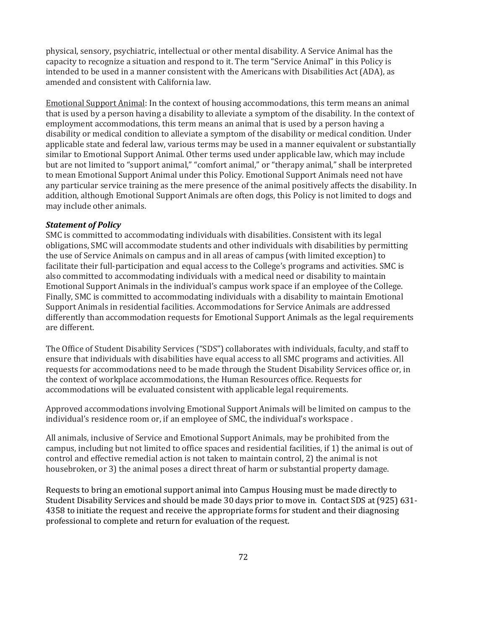physical, sensory, psychiatric, intellectual or other mental disability. A Service Animal has the capacity to recognize a situation and respond to it. The term "Service Animal" in this Policy is intended to be used in a manner consistent with the Americans with Disabilities Act (ADA), as amended and consistent with California law.

Emotional Support Animal: In the context of housing accommodations, this term means an animal that is used by a person having a disability to alleviate a symptom of the disability. In the context of employment accommodations, this term means an animal that is used by a person having a disability or medical condition to alleviate a symptom of the disability or medical condition. Under applicable state and federal law, various terms may be used in a manner equivalent or substantially similar to Emotional Support Animal. Other terms used under applicable law, which may include but are not limited to "support animal," "comfort animal," or "therapy animal," shall be interpreted to mean Emotional Support Animal under this Policy. Emotional Support Animals need not have any particular service training as the mere presence of the animal positively affects the disability. In addition, although Emotional Support Animals are often dogs, this Policy is not limited to dogs and may include other animals.

#### *Statement of Policy*

SMC is committed to accommodating individuals with disabilities. Consistent with its legal obligations, SMC will accommodate students and other individuals with disabilities by permitting the use of Service Animals on campus and in all areas of campus (with limited exception) to facilitate their full-participation and equal access to the College's programs and activities. SMC is also committed to accommodating individuals with a medical need or disability to maintain Emotional Support Animals in the individual's campus work space if an employee of the College. Finally, SMC is committed to accommodating individuals with a disability to maintain Emotional Support Animals in residential facilities. Accommodations for Service Animals are addressed differently than accommodation requests for Emotional Support Animals as the legal requirements are different.

The Office of Student Disability Services ("SDS") collaborates with individuals, faculty, and staff to ensure that individuals with disabilities have equal access to all SMC programs and activities. All requests for accommodations need to be made through the Student Disability Services office or, in the context of workplace accommodations, the Human Resources office. Requests for accommodations will be evaluated consistent with applicable legal requirements.

Approved accommodations involving Emotional Support Animals will be limited on campus to the individual's residence room or, if an employee of SMC, the individual's workspace .

All animals, inclusive of Service and Emotional Support Animals, may be prohibited from the campus, including but not limited to office spaces and residential facilities, if 1) the animal is out of control and effective remedial action is not taken to maintain control, 2) the animal is not housebroken, or 3) the animal poses a direct threat of harm or substantial property damage.

Requests to bring an emotional support animal into Campus Housing must be made directly to Student Disability Services and should be made 30 days prior to move in. Contact SDS at (925) 631- 4358 to initiate the request and receive the appropriate forms for student and their diagnosing professional to complete and return for evaluation of the request.